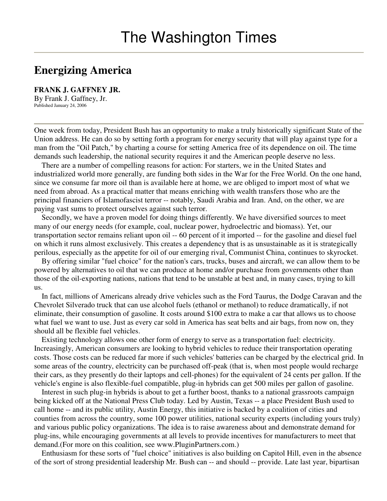## **Energizing America**

**FRANK J. GAFFNEY JR.** By Frank J. Gaffney, Jr. Published January 24, 2006

One week from today, President Bush has an opportunity to make a truly historically significant State of the Union address. He can do so by setting forth a program for energy security that will play against type for a man from the "Oil Patch," by charting a course for setting America free of its dependence on oil. The time demands such leadership, the national security requires it and the American people deserve no less.

There are a number of compelling reasons for action: For starters, we in the United States and industrialized world more generally, are funding both sides in the War for the Free World. On the one hand, since we consume far more oil than is available here at home, we are obliged to import most of what we need from abroad. As a practical matter that means enriching with wealth transfers those who are the principal financiers of Islamofascist terror -- notably, Saudi Arabia and Iran. And, on the other, we are paying vast sums to protect ourselves against such terror.

Secondly, we have a proven model for doing things differently. We have diversified sources to meet many of our energy needs (for example, coal, nuclear power, hydroelectric and biomass). Yet, our transportation sector remains reliant upon oil -- 60 percent of it imported -- for the gasoline and diesel fuel on which it runs almost exclusively. This creates a dependency that is as unsustainable as it is strategically perilous, especially as the appetite for oil of our emerging rival, Communist China, continues to skyrocket.

By offering similar "fuel choice" for the nation's cars, trucks, buses and aircraft, we can allow them to be powered by alternatives to oil that we can produce at home and/or purchase from governments other than those of the oil-exporting nations, nations that tend to be unstable at best and, in many cases, trying to kill us.

In fact, millions of Americans already drive vehicles such as the Ford Taurus, the Dodge Caravan and the Chevrolet Silverado truck that can use alcohol fuels (ethanol or methanol) to reduce dramatically, if not eliminate, their consumption of gasoline. It costs around \$100 extra to make a car that allows us to choose what fuel we want to use. Just as every car sold in America has seat belts and air bags, from now on, they should all be flexible fuel vehicles.

Existing technology allows one other form of energy to serve as a transportation fuel: electricity. Increasingly, American consumers are looking to hybrid vehicles to reduce their transportation operating costs. Those costs can be reduced far more if such vehicles' batteries can be charged by the electrical grid. In some areas of the country, electricity can be purchased off-peak (that is, when most people would recharge their cars, as they presently do their laptops and cell-phones) for the equivalent of 24 cents per gallon. If the vehicle's engine is also flexible-fuel compatible, plug-in hybrids can get 500 miles per gallon of gasoline.

Interest in such plug-in hybrids is about to get a further boost, thanks to a national grassroots campaign being kicked off at the National Press Club today. Led by Austin, Texas -- a place President Bush used to call home -- and its public utility, Austin Energy, this initiative is backed by a coalition of cities and counties from across the country, some 100 power utilities, national security experts (including yours truly) and various public policy organizations. The idea is to raise awareness about and demonstrate demand for plug-ins, while encouraging governments at all levels to provide incentives for manufacturers to meet that demand.(For more on this coalition, see www.PluginPartners.com.)

Enthusiasm for these sorts of "fuel choice" initiatives is also building on Capitol Hill, even in the absence of the sort of strong presidential leadership Mr. Bush can -- and should -- provide. Late last year, bipartisan